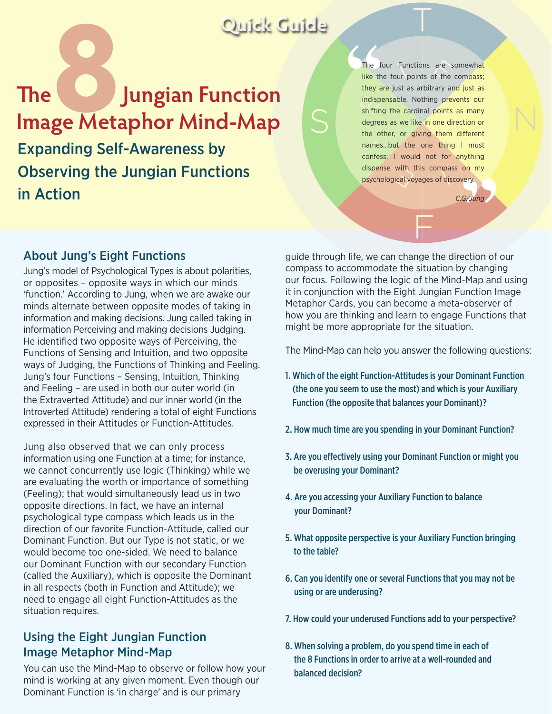## **Quick Guide**

Expanding Self-Awareness by Observing the Jungian Functions in Action **The Jungian Function Image Metaphor Mind-Map** 

The four Functions are somewha<mark>t</mark><br>l<mark>ike</mark> the four points of the compass; The four Functions are somewhat<br>like the four points of the compass; dispense with this compass on indispensable. Nothing prevents our<br>shifting the cardinal points as many the other, or giving them different<br>names...but the one thing I must whing<br>bon my<br>gry.<br>**3. Jung** they are just as arbitrary and just as shifting the cardinal points as many degrees as we like in one direction or the other, or giving them different confess: I would not for anything dispense with this compass on my

F

 $\overline{1}$ 

*C.G. Jung* 

N

## About Jung's Eight Functions

Jung's model of Psychological Types is about polarities, or opposites – opposite ways in which our minds 'function.' According to Jung, when we are awake our minds alternate between opposite modes of taking in information and making decisions. Jung called taking in information Perceiving and making decisions Judging. He identified two opposite ways of Perceiving, the Functions of Sensing and Intuition, and two opposite ways of Judging, the Functions of Thinking and Feeling. Jung's four Functions – Sensing, Intuition, Thinking and Feeling – are used in both our outer world (in the Extraverted Attitude) and our inner world (in the Introverted Attitude) rendering a total of eight Functions expressed in their Attitudes or Function-Attitudes.

Jung also observed that we can only process information using one Function at a time; for instance, we cannot concurrently use logic (Thinking) while we are evaluating the worth or importance of something (Feeling); that would simultaneously lead us in two opposite directions. In fact, we have an internal psychological type compass which leads us in the direction of our favorite Function-Attitude, called our Dominant Function. But our Type is not static, or we would become too one-sided. We need to balance our Dominant Function with our secondary Function (called the Auxiliary), which is opposite the Dominant in all respects (both in Function and Attitude); we need to engage all eight Function-Attitudes as the situation requires.

## Using the Eight Jungian Function Image Metaphor Mind-Map

You can use the Mind-Map to observe or follow how your mind is working at any given moment. Even though our Dominant Function is 'in charge' and is our primary

guide through life, we can change the direction of our compass to accommodate the situation by changing our focus. Following the logic of the Mind-Map and using it in conjunction with the Eight Jungian Function Image Metaphor Cards, you can become a meta-observer of how you are thinking and learn to engage Functions that might be more appropriate for the situation.

The Mind-Map can help you answer the following questions:

- 1. Which of the eight Function-Attitudes is your Dominant Function (the one you seem to use the most) and which is your Auxiliary Function (the opposite that balances your Dominant)?
- 2. How much time are you spending in your Dominant Function?
- 3. Are you effectively using your Dominant Function or might you be overusing your Dominant?
- 4. Are you accessing your Auxiliary Function to balance your Dominant?
- 5. What opposite perspective is your Auxiliary Function bringing to the table?
- 6. Can you identify one or several Functions that you may not be using or are underusing?
- 7. How could your underused Functions add to your perspective?
- 8. When solving a problem, do you spend time in each of the 8 Functions in order to arrive at a well-rounded and balanced decision?